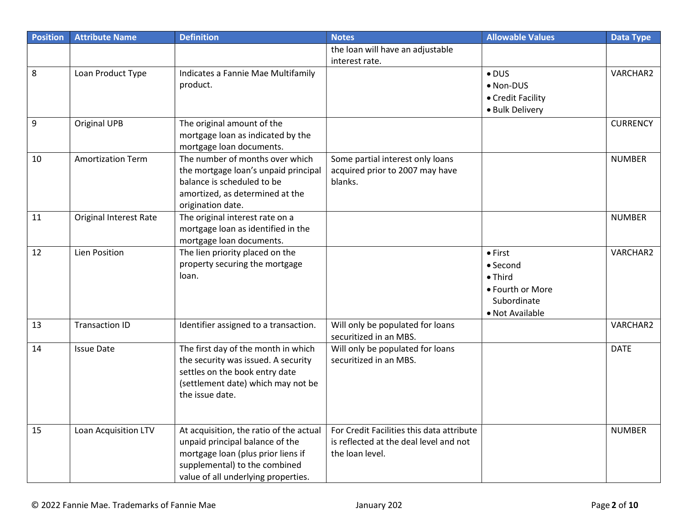| <b>Position</b> | <b>Attribute Name</b>         | <b>Definition</b>                                                                                                                                                                        | <b>Notes</b>                                                                                           | <b>Allowable Values</b>                                                                              | <b>Data Type</b> |
|-----------------|-------------------------------|------------------------------------------------------------------------------------------------------------------------------------------------------------------------------------------|--------------------------------------------------------------------------------------------------------|------------------------------------------------------------------------------------------------------|------------------|
|                 |                               |                                                                                                                                                                                          | the loan will have an adjustable<br>interest rate.                                                     |                                                                                                      |                  |
| 8               | Loan Product Type             | Indicates a Fannie Mae Multifamily<br>product.                                                                                                                                           |                                                                                                        | $\bullet$ DUS<br>• Non-DUS<br>• Credit Facility<br>· Bulk Delivery                                   | VARCHAR2         |
| 9               | <b>Original UPB</b>           | The original amount of the<br>mortgage loan as indicated by the<br>mortgage loan documents.                                                                                              |                                                                                                        |                                                                                                      | <b>CURRENCY</b>  |
| 10              | <b>Amortization Term</b>      | The number of months over which<br>the mortgage loan's unpaid principal<br>balance is scheduled to be<br>amortized, as determined at the<br>origination date.                            | Some partial interest only loans<br>acquired prior to 2007 may have<br>blanks.                         |                                                                                                      | <b>NUMBER</b>    |
| 11              | <b>Original Interest Rate</b> | The original interest rate on a<br>mortgage loan as identified in the<br>mortgage loan documents.                                                                                        |                                                                                                        |                                                                                                      | <b>NUMBER</b>    |
| 12              | Lien Position                 | The lien priority placed on the<br>property securing the mortgage<br>loan.                                                                                                               |                                                                                                        | $\bullet$ First<br>• Second<br>$\bullet$ Third<br>• Fourth or More<br>Subordinate<br>• Not Available | VARCHAR2         |
| 13              | <b>Transaction ID</b>         | Identifier assigned to a transaction.                                                                                                                                                    | Will only be populated for loans<br>securitized in an MBS.                                             |                                                                                                      | VARCHAR2         |
| 14              | <b>Issue Date</b>             | The first day of the month in which<br>the security was issued. A security<br>settles on the book entry date<br>(settlement date) which may not be<br>the issue date.                    | Will only be populated for loans<br>securitized in an MBS.                                             |                                                                                                      | <b>DATE</b>      |
| 15              | Loan Acquisition LTV          | At acquisition, the ratio of the actual<br>unpaid principal balance of the<br>mortgage loan (plus prior liens if<br>supplemental) to the combined<br>value of all underlying properties. | For Credit Facilities this data attribute<br>is reflected at the deal level and not<br>the loan level. |                                                                                                      | <b>NUMBER</b>    |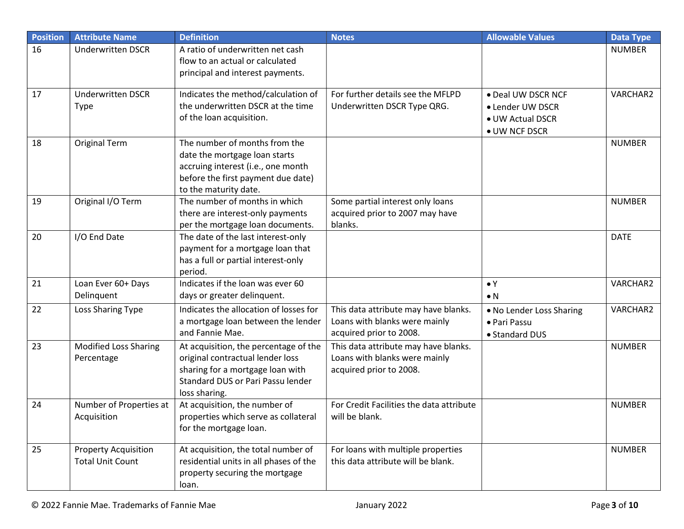| <b>Position</b> | <b>Attribute Name</b>                                  | <b>Definition</b>                                                                                                                                                   | <b>Notes</b>                                                                                     | <b>Allowable Values</b>                                                     | <b>Data Type</b> |
|-----------------|--------------------------------------------------------|---------------------------------------------------------------------------------------------------------------------------------------------------------------------|--------------------------------------------------------------------------------------------------|-----------------------------------------------------------------------------|------------------|
| 16              | <b>Underwritten DSCR</b>                               | A ratio of underwritten net cash<br>flow to an actual or calculated<br>principal and interest payments.                                                             |                                                                                                  |                                                                             | <b>NUMBER</b>    |
| 17              | <b>Underwritten DSCR</b><br><b>Type</b>                | Indicates the method/calculation of<br>the underwritten DSCR at the time<br>of the loan acquisition.                                                                | For further details see the MFLPD<br>Underwritten DSCR Type QRG.                                 | · Deal UW DSCR NCF<br>• Lender UW DSCR<br>• UW Actual DSCR<br>• UW NCF DSCR | VARCHAR2         |
| 18              | <b>Original Term</b>                                   | The number of months from the<br>date the mortgage loan starts<br>accruing interest (i.e., one month<br>before the first payment due date)<br>to the maturity date. |                                                                                                  |                                                                             | <b>NUMBER</b>    |
| 19              | Original I/O Term                                      | The number of months in which<br>there are interest-only payments<br>per the mortgage loan documents.                                                               | Some partial interest only loans<br>acquired prior to 2007 may have<br>blanks.                   |                                                                             | <b>NUMBER</b>    |
| 20              | I/O End Date                                           | The date of the last interest-only<br>payment for a mortgage loan that<br>has a full or partial interest-only<br>period.                                            |                                                                                                  |                                                                             | <b>DATE</b>      |
| 21              | Loan Ever 60+ Days<br>Delinquent                       | Indicates if the loan was ever 60<br>days or greater delinquent.                                                                                                    |                                                                                                  | $\bullet$ Y<br>$\bullet$ N                                                  | VARCHAR2         |
| 22              | Loss Sharing Type                                      | Indicates the allocation of losses for<br>a mortgage loan between the lender<br>and Fannie Mae.                                                                     | This data attribute may have blanks.<br>Loans with blanks were mainly<br>acquired prior to 2008. | . No Lender Loss Sharing<br>· Pari Passu<br>• Standard DUS                  | VARCHAR2         |
| 23              | <b>Modified Loss Sharing</b><br>Percentage             | At acquisition, the percentage of the<br>original contractual lender loss<br>sharing for a mortgage loan with<br>Standard DUS or Pari Passu lender<br>loss sharing. | This data attribute may have blanks.<br>Loans with blanks were mainly<br>acquired prior to 2008. |                                                                             | <b>NUMBER</b>    |
| 24              | Number of Properties at<br>Acquisition                 | At acquisition, the number of<br>properties which serve as collateral<br>for the mortgage loan.                                                                     | For Credit Facilities the data attribute<br>will be blank.                                       |                                                                             | <b>NUMBER</b>    |
| 25              | <b>Property Acquisition</b><br><b>Total Unit Count</b> | At acquisition, the total number of<br>residential units in all phases of the<br>property securing the mortgage<br>loan.                                            | For loans with multiple properties<br>this data attribute will be blank.                         |                                                                             | <b>NUMBER</b>    |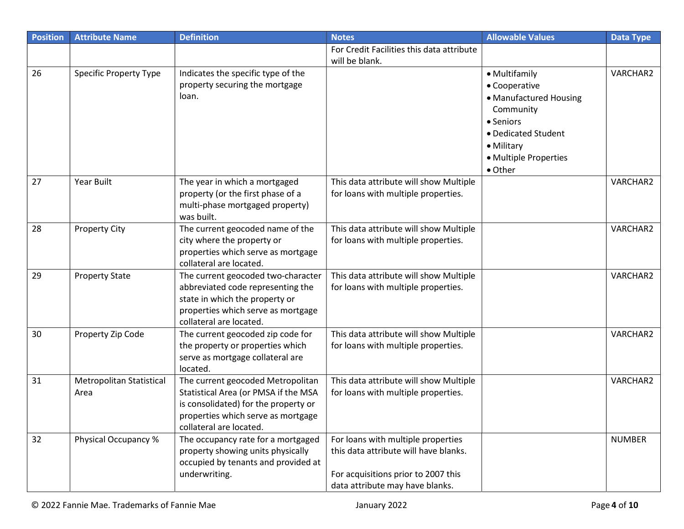| <b>Position</b> | <b>Attribute Name</b>         | <b>Definition</b>                                                     | <b>Notes</b>                              | <b>Allowable Values</b> | <b>Data Type</b> |
|-----------------|-------------------------------|-----------------------------------------------------------------------|-------------------------------------------|-------------------------|------------------|
|                 |                               |                                                                       | For Credit Facilities this data attribute |                         |                  |
|                 |                               |                                                                       | will be blank.                            |                         |                  |
| 26              | <b>Specific Property Type</b> | Indicates the specific type of the                                    |                                           | • Multifamily           | VARCHAR2         |
|                 |                               | property securing the mortgage                                        |                                           | • Cooperative           |                  |
|                 |                               | loan.                                                                 |                                           | • Manufactured Housing  |                  |
|                 |                               |                                                                       |                                           | Community               |                  |
|                 |                               |                                                                       |                                           | • Seniors               |                  |
|                 |                               |                                                                       |                                           | • Dedicated Student     |                  |
|                 |                               |                                                                       |                                           | • Military              |                  |
|                 |                               |                                                                       |                                           | • Multiple Properties   |                  |
|                 |                               |                                                                       |                                           | • Other                 |                  |
| 27              | <b>Year Built</b>             | The year in which a mortgaged                                         | This data attribute will show Multiple    |                         | VARCHAR2         |
|                 |                               | property (or the first phase of a                                     | for loans with multiple properties.       |                         |                  |
|                 |                               | multi-phase mortgaged property)                                       |                                           |                         |                  |
|                 |                               | was built.                                                            |                                           |                         |                  |
| 28              | <b>Property City</b>          | The current geocoded name of the                                      | This data attribute will show Multiple    |                         | VARCHAR2         |
|                 |                               | city where the property or                                            | for loans with multiple properties.       |                         |                  |
|                 |                               | properties which serve as mortgage                                    |                                           |                         |                  |
|                 |                               | collateral are located.                                               |                                           |                         |                  |
| 29              | <b>Property State</b>         | The current geocoded two-character                                    | This data attribute will show Multiple    |                         | VARCHAR2         |
|                 |                               | abbreviated code representing the                                     | for loans with multiple properties.       |                         |                  |
|                 |                               | state in which the property or                                        |                                           |                         |                  |
|                 |                               | properties which serve as mortgage                                    |                                           |                         |                  |
| 30              |                               | collateral are located.                                               | This data attribute will show Multiple    |                         | VARCHAR2         |
|                 | Property Zip Code             | The current geocoded zip code for<br>the property or properties which | for loans with multiple properties.       |                         |                  |
|                 |                               | serve as mortgage collateral are                                      |                                           |                         |                  |
|                 |                               | located.                                                              |                                           |                         |                  |
| 31              | Metropolitan Statistical      | The current geocoded Metropolitan                                     | This data attribute will show Multiple    |                         | VARCHAR2         |
|                 | Area                          | Statistical Area (or PMSA if the MSA                                  | for loans with multiple properties.       |                         |                  |
|                 |                               | is consolidated) for the property or                                  |                                           |                         |                  |
|                 |                               | properties which serve as mortgage                                    |                                           |                         |                  |
|                 |                               | collateral are located.                                               |                                           |                         |                  |
| 32              | Physical Occupancy %          | The occupancy rate for a mortgaged                                    | For loans with multiple properties        |                         | <b>NUMBER</b>    |
|                 |                               | property showing units physically                                     | this data attribute will have blanks.     |                         |                  |
|                 |                               | occupied by tenants and provided at                                   |                                           |                         |                  |
|                 |                               | underwriting.                                                         | For acquisitions prior to 2007 this       |                         |                  |
|                 |                               |                                                                       | data attribute may have blanks.           |                         |                  |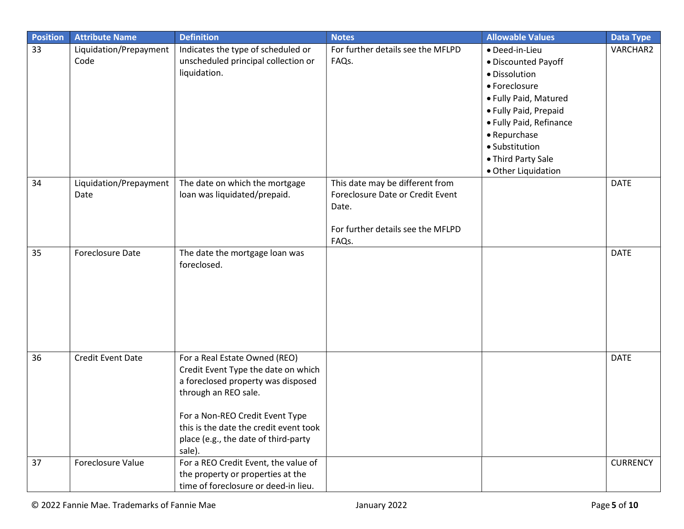| <b>Position</b> | <b>Attribute Name</b>          | <b>Definition</b>                                                                                                                                                                                                                                                 | <b>Notes</b>                                                                                                               | <b>Allowable Values</b>                                                                                                                                                                                                             | <b>Data Type</b> |
|-----------------|--------------------------------|-------------------------------------------------------------------------------------------------------------------------------------------------------------------------------------------------------------------------------------------------------------------|----------------------------------------------------------------------------------------------------------------------------|-------------------------------------------------------------------------------------------------------------------------------------------------------------------------------------------------------------------------------------|------------------|
| 33              | Liquidation/Prepayment<br>Code | Indicates the type of scheduled or<br>unscheduled principal collection or<br>liquidation.                                                                                                                                                                         | For further details see the MFLPD<br>FAQs.                                                                                 | · Deed-in-Lieu<br>· Discounted Payoff<br>· Dissolution<br>• Foreclosure<br>• Fully Paid, Matured<br>• Fully Paid, Prepaid<br>· Fully Paid, Refinance<br>• Repurchase<br>· Substitution<br>• Third Party Sale<br>· Other Liquidation | VARCHAR2         |
| 34              | Liquidation/Prepayment<br>Date | The date on which the mortgage<br>loan was liquidated/prepaid.                                                                                                                                                                                                    | This date may be different from<br>Foreclosure Date or Credit Event<br>Date.<br>For further details see the MFLPD<br>FAQs. |                                                                                                                                                                                                                                     | <b>DATE</b>      |
| 35              | Foreclosure Date               | The date the mortgage loan was<br>foreclosed.                                                                                                                                                                                                                     |                                                                                                                            |                                                                                                                                                                                                                                     | <b>DATE</b>      |
| 36              | <b>Credit Event Date</b>       | For a Real Estate Owned (REO)<br>Credit Event Type the date on which<br>a foreclosed property was disposed<br>through an REO sale.<br>For a Non-REO Credit Event Type<br>this is the date the credit event took<br>place (e.g., the date of third-party<br>sale). |                                                                                                                            |                                                                                                                                                                                                                                     | <b>DATE</b>      |
| 37              | Foreclosure Value              | For a REO Credit Event, the value of<br>the property or properties at the<br>time of foreclosure or deed-in lieu.                                                                                                                                                 |                                                                                                                            |                                                                                                                                                                                                                                     | <b>CURRENCY</b>  |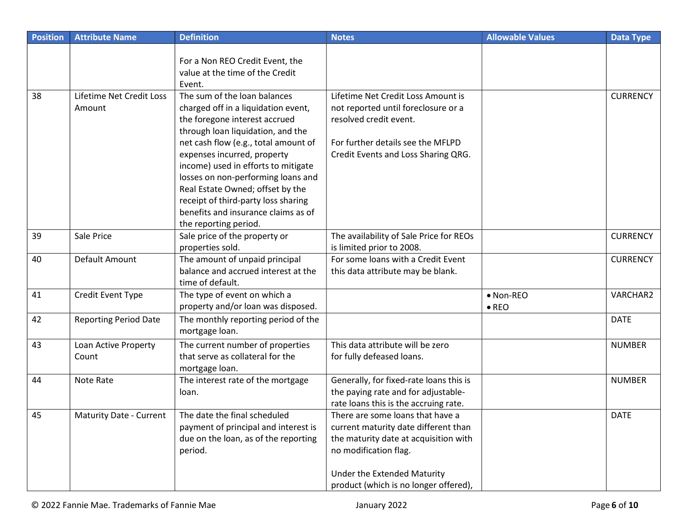| <b>Position</b> | <b>Attribute Name</b>              | <b>Definition</b>                                                                                                                                                                                                                                                                                                                                                                                                                        | <b>Notes</b>                                                                                                                                                                                                       | <b>Allowable Values</b>    | <b>Data Type</b> |
|-----------------|------------------------------------|------------------------------------------------------------------------------------------------------------------------------------------------------------------------------------------------------------------------------------------------------------------------------------------------------------------------------------------------------------------------------------------------------------------------------------------|--------------------------------------------------------------------------------------------------------------------------------------------------------------------------------------------------------------------|----------------------------|------------------|
|                 |                                    | For a Non REO Credit Event, the<br>value at the time of the Credit<br>Event.                                                                                                                                                                                                                                                                                                                                                             |                                                                                                                                                                                                                    |                            |                  |
| 38              | Lifetime Net Credit Loss<br>Amount | The sum of the loan balances<br>charged off in a liquidation event,<br>the foregone interest accrued<br>through loan liquidation, and the<br>net cash flow (e.g., total amount of<br>expenses incurred, property<br>income) used in efforts to mitigate<br>losses on non-performing loans and<br>Real Estate Owned; offset by the<br>receipt of third-party loss sharing<br>benefits and insurance claims as of<br>the reporting period. | Lifetime Net Credit Loss Amount is<br>not reported until foreclosure or a<br>resolved credit event.<br>For further details see the MFLPD<br>Credit Events and Loss Sharing QRG.                                    |                            | <b>CURRENCY</b>  |
| 39              | Sale Price                         | Sale price of the property or<br>properties sold.                                                                                                                                                                                                                                                                                                                                                                                        | The availability of Sale Price for REOs<br>is limited prior to 2008.                                                                                                                                               |                            | <b>CURRENCY</b>  |
| 40              | Default Amount                     | The amount of unpaid principal<br>balance and accrued interest at the<br>time of default.                                                                                                                                                                                                                                                                                                                                                | For some loans with a Credit Event<br>this data attribute may be blank.                                                                                                                                            |                            | <b>CURRENCY</b>  |
| 41              | Credit Event Type                  | The type of event on which a<br>property and/or loan was disposed.                                                                                                                                                                                                                                                                                                                                                                       |                                                                                                                                                                                                                    | • Non-REO<br>$\bullet$ REO | VARCHAR2         |
| 42              | <b>Reporting Period Date</b>       | The monthly reporting period of the<br>mortgage loan.                                                                                                                                                                                                                                                                                                                                                                                    |                                                                                                                                                                                                                    |                            | <b>DATE</b>      |
| 43              | Loan Active Property<br>Count      | The current number of properties<br>that serve as collateral for the<br>mortgage loan.                                                                                                                                                                                                                                                                                                                                                   | This data attribute will be zero<br>for fully defeased loans.                                                                                                                                                      |                            | <b>NUMBER</b>    |
| 44              | Note Rate                          | The interest rate of the mortgage<br>loan.                                                                                                                                                                                                                                                                                                                                                                                               | Generally, for fixed-rate loans this is<br>the paying rate and for adjustable-<br>rate loans this is the accruing rate.                                                                                            |                            | <b>NUMBER</b>    |
| 45              | <b>Maturity Date - Current</b>     | The date the final scheduled<br>payment of principal and interest is<br>due on the loan, as of the reporting<br>period.                                                                                                                                                                                                                                                                                                                  | There are some loans that have a<br>current maturity date different than<br>the maturity date at acquisition with<br>no modification flag.<br>Under the Extended Maturity<br>product (which is no longer offered), |                            | <b>DATE</b>      |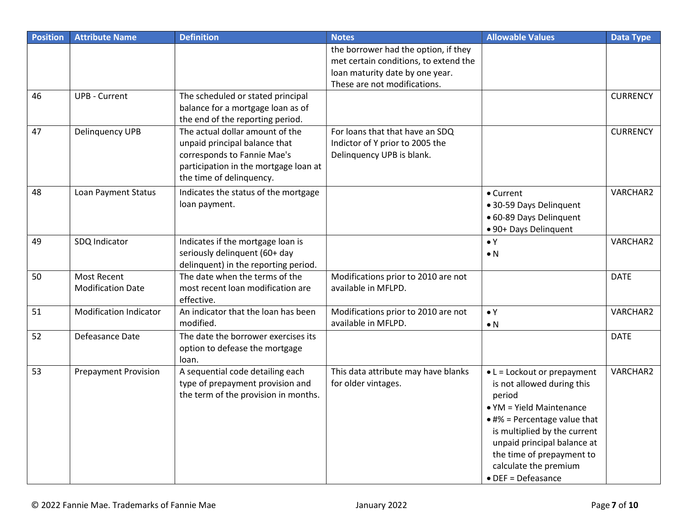| <b>Position</b> | <b>Attribute Name</b>                          | <b>Definition</b>                                                                                                                                                    | <b>Notes</b>                                                                                                                                     | <b>Allowable Values</b>                                                                                                                                                                                                                                                              | Data Type       |
|-----------------|------------------------------------------------|----------------------------------------------------------------------------------------------------------------------------------------------------------------------|--------------------------------------------------------------------------------------------------------------------------------------------------|--------------------------------------------------------------------------------------------------------------------------------------------------------------------------------------------------------------------------------------------------------------------------------------|-----------------|
|                 |                                                |                                                                                                                                                                      | the borrower had the option, if they<br>met certain conditions, to extend the<br>loan maturity date by one year.<br>These are not modifications. |                                                                                                                                                                                                                                                                                      |                 |
| 46              | <b>UPB - Current</b>                           | The scheduled or stated principal<br>balance for a mortgage loan as of<br>the end of the reporting period.                                                           |                                                                                                                                                  |                                                                                                                                                                                                                                                                                      | <b>CURRENCY</b> |
| 47              | Delinquency UPB                                | The actual dollar amount of the<br>unpaid principal balance that<br>corresponds to Fannie Mae's<br>participation in the mortgage loan at<br>the time of delinquency. | For loans that that have an SDQ<br>Indictor of Y prior to 2005 the<br>Delinquency UPB is blank.                                                  |                                                                                                                                                                                                                                                                                      | <b>CURRENCY</b> |
| 48              | Loan Payment Status                            | Indicates the status of the mortgage<br>loan payment.                                                                                                                |                                                                                                                                                  | • Current<br>• 30-59 Days Delinquent<br>· 60-89 Days Delinquent<br>• 90+ Days Delinquent                                                                                                                                                                                             | VARCHAR2        |
| 49              | SDQ Indicator                                  | Indicates if the mortgage loan is<br>seriously delinquent (60+ day<br>delinquent) in the reporting period.                                                           |                                                                                                                                                  | $\bullet Y$<br>$\bullet$ N                                                                                                                                                                                                                                                           | VARCHAR2        |
| 50              | <b>Most Recent</b><br><b>Modification Date</b> | The date when the terms of the<br>most recent loan modification are<br>effective.                                                                                    | Modifications prior to 2010 are not<br>available in MFLPD.                                                                                       |                                                                                                                                                                                                                                                                                      | <b>DATE</b>     |
| 51              | <b>Modification Indicator</b>                  | An indicator that the loan has been<br>modified.                                                                                                                     | Modifications prior to 2010 are not<br>available in MFLPD.                                                                                       | $\bullet$ Y<br>$\bullet$ N                                                                                                                                                                                                                                                           | VARCHAR2        |
| 52              | Defeasance Date                                | The date the borrower exercises its<br>option to defease the mortgage<br>loan.                                                                                       |                                                                                                                                                  |                                                                                                                                                                                                                                                                                      | <b>DATE</b>     |
| 53              | <b>Prepayment Provision</b>                    | A sequential code detailing each<br>type of prepayment provision and<br>the term of the provision in months.                                                         | This data attribute may have blanks<br>for older vintages.                                                                                       | $\bullet$ L = Lockout or prepayment<br>is not allowed during this<br>period<br>• YM = Yield Maintenance<br>$*4\%$ = Percentage value that<br>is multiplied by the current<br>unpaid principal balance at<br>the time of prepayment to<br>calculate the premium<br>• DEF = Defeasance | VARCHAR2        |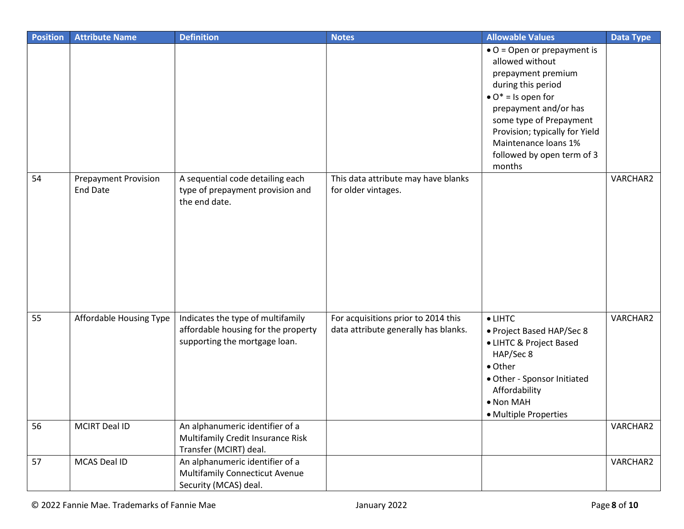| <b>Position</b> | <b>Attribute Name</b>                          | <b>Definition</b>                                                                                         | <b>Notes</b>                                                                | <b>Allowable Values</b>                                                                                                                                      | <b>Data Type</b> |
|-----------------|------------------------------------------------|-----------------------------------------------------------------------------------------------------------|-----------------------------------------------------------------------------|--------------------------------------------------------------------------------------------------------------------------------------------------------------|------------------|
|                 |                                                |                                                                                                           |                                                                             | $\bullet$ O = Open or prepayment is<br>allowed without<br>prepayment premium                                                                                 |                  |
|                 |                                                |                                                                                                           |                                                                             | during this period                                                                                                                                           |                  |
|                 |                                                |                                                                                                           |                                                                             | $\bullet$ O <sup>*</sup> = Is open for                                                                                                                       |                  |
|                 |                                                |                                                                                                           |                                                                             | prepayment and/or has                                                                                                                                        |                  |
|                 |                                                |                                                                                                           |                                                                             | some type of Prepayment<br>Provision; typically for Yield                                                                                                    |                  |
|                 |                                                |                                                                                                           |                                                                             | Maintenance loans 1%                                                                                                                                         |                  |
|                 |                                                |                                                                                                           |                                                                             | followed by open term of 3                                                                                                                                   |                  |
|                 |                                                |                                                                                                           |                                                                             | months                                                                                                                                                       |                  |
| 54              | <b>Prepayment Provision</b><br><b>End Date</b> | A sequential code detailing each<br>type of prepayment provision and<br>the end date.                     | This data attribute may have blanks<br>for older vintages.                  |                                                                                                                                                              | VARCHAR2         |
|                 |                                                |                                                                                                           |                                                                             |                                                                                                                                                              |                  |
| 55              | Affordable Housing Type                        | Indicates the type of multifamily<br>affordable housing for the property<br>supporting the mortgage loan. | For acquisitions prior to 2014 this<br>data attribute generally has blanks. | $\bullet$ LIHTC<br>• Project Based HAP/Sec 8<br>• LIHTC & Project Based<br>HAP/Sec 8<br>• Other<br>• Other - Sponsor Initiated<br>Affordability<br>• Non MAH | VARCHAR2         |
| 56              | MCIRT Deal ID                                  | An alphanumeric identifier of a                                                                           |                                                                             | • Multiple Properties                                                                                                                                        | VARCHAR2         |
|                 |                                                | Multifamily Credit Insurance Risk<br>Transfer (MCIRT) deal.                                               |                                                                             |                                                                                                                                                              |                  |
| 57              | MCAS Deal ID                                   | An alphanumeric identifier of a<br><b>Multifamily Connecticut Avenue</b><br>Security (MCAS) deal.         |                                                                             |                                                                                                                                                              | VARCHAR2         |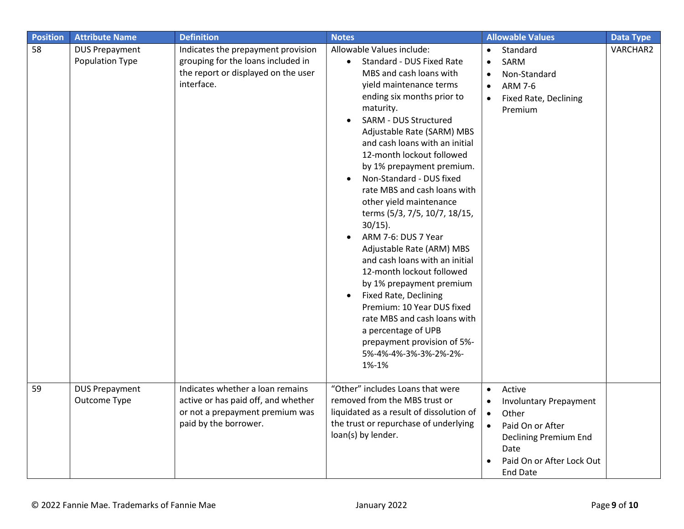| <b>Position</b> | <b>Attribute Name</b>                    | <b>Definition</b>                                                                                                                   | <b>Notes</b>                                                                                                                                                                                                                                                                                                                                                                                                                                                                                                                                                                                                                                                                                                                                                                   | <b>Allowable Values</b>                                                                                                                                                                                   | <b>Data Type</b> |
|-----------------|------------------------------------------|-------------------------------------------------------------------------------------------------------------------------------------|--------------------------------------------------------------------------------------------------------------------------------------------------------------------------------------------------------------------------------------------------------------------------------------------------------------------------------------------------------------------------------------------------------------------------------------------------------------------------------------------------------------------------------------------------------------------------------------------------------------------------------------------------------------------------------------------------------------------------------------------------------------------------------|-----------------------------------------------------------------------------------------------------------------------------------------------------------------------------------------------------------|------------------|
| 58              | <b>DUS Prepayment</b><br>Population Type | Indicates the prepayment provision<br>grouping for the loans included in<br>the report or displayed on the user<br>interface.       | Allowable Values include:<br>Standard - DUS Fixed Rate<br>MBS and cash loans with<br>yield maintenance terms<br>ending six months prior to<br>maturity.<br>SARM - DUS Structured<br>Adjustable Rate (SARM) MBS<br>and cash loans with an initial<br>12-month lockout followed<br>by 1% prepayment premium.<br>Non-Standard - DUS fixed<br>rate MBS and cash loans with<br>other yield maintenance<br>terms (5/3, 7/5, 10/7, 18/15,<br>$30/15$ ).<br>ARM 7-6: DUS 7 Year<br>Adjustable Rate (ARM) MBS<br>and cash loans with an initial<br>12-month lockout followed<br>by 1% prepayment premium<br>Fixed Rate, Declining<br>Premium: 10 Year DUS fixed<br>rate MBS and cash loans with<br>a percentage of UPB<br>prepayment provision of 5%-<br>5%-4%-4%-3%-3%-2%-2%-<br>1%-1% | Standard<br>SARM<br>Non-Standard<br><b>ARM 7-6</b><br>Fixed Rate, Declining<br>$\bullet$<br>Premium                                                                                                       | VARCHAR2         |
| 59              | <b>DUS Prepayment</b><br>Outcome Type    | Indicates whether a loan remains<br>active or has paid off, and whether<br>or not a prepayment premium was<br>paid by the borrower. | "Other" includes Loans that were<br>removed from the MBS trust or<br>liquidated as a result of dissolution of<br>the trust or repurchase of underlying<br>loan(s) by lender.                                                                                                                                                                                                                                                                                                                                                                                                                                                                                                                                                                                                   | Active<br>$\bullet$<br><b>Involuntary Prepayment</b><br>$\bullet$<br>Other<br>$\bullet$<br>Paid On or After<br>$\bullet$<br>Declining Premium End<br>Date<br>Paid On or After Lock Out<br><b>End Date</b> |                  |